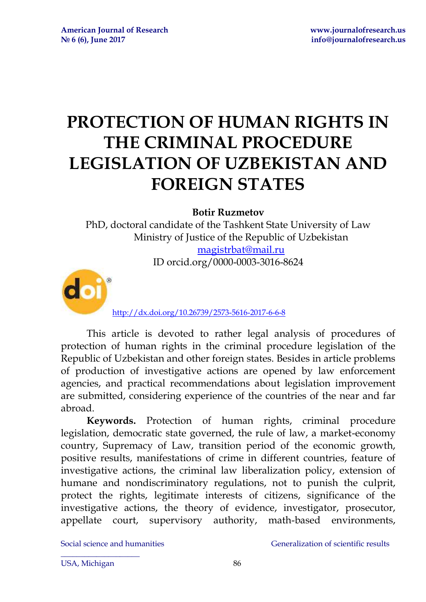# **PROTECTION OF HUMAN RIGHTS IN THE CRIMINAL PROCEDURE LEGISLATION OF UZBEKISTAN AND FOREIGN STATES**

### **Botir Ruzmetov**

PhD, doctoral candidate of the Tashkent State University of Law Ministry of Justice of the Republic of Uzbekistan [magistrbat@mail.ru](mailto:magistrbat@mail.ru) ID orcid.org/0000-0003-3016-8624



<http://dx.doi.org/10.26739/2573-5616-2017-6-6-8>

This article is devoted to rather legal analysis of procedures of protection of human rights in the criminal procedure legislation of the Republic of Uzbekistan and other foreign states. Besides in article problems of production of investigative actions are opened by law enforcement agencies, and practical recommendations about legislation improvement are submitted, considering experience of the countries of the near and far abroad.

**Keywords.** Protection of human rights, criminal procedure legislation, democratic state governed, the rule of law, a market-economy country, Supremacy of Law, transition period of the economic growth, positive results, manifestations of crime in different countries, feature of investigative actions, the criminal law liberalization policy, extension of humane and nondiscriminatory regulations, not to punish the culprit, protect the rights, legitimate interests of citizens, significance of the investigative actions, the theory of evidence, investigator, prosecutor, appellate court, supervisory authority, math-based environments,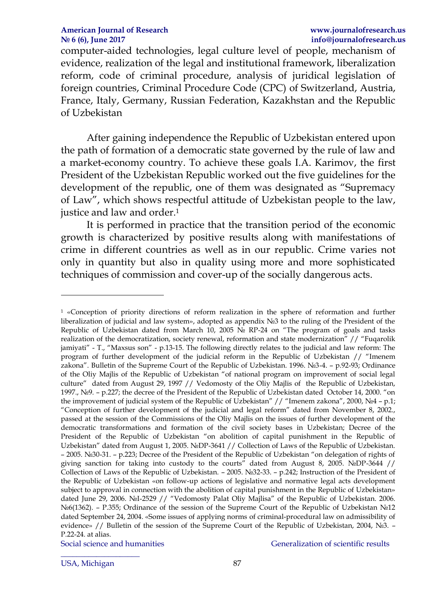computer-aided technologies, legal culture level of people, mechanism of evidence, realization of the legal and institutional framework, liberalization reform, code of criminal procedure, analysis of juridical legislation of foreign countries, Criminal Procedure Code (CPC) of Switzerland, Austria, France, Italy, Germany, Russian Federation, Kazakhstan and the Republic of Uzbekistan

After gaining independence the Republic of Uzbekistan entered upon the path of formation of a democratic state governed by the rule of law and a market-economy country. To achieve these goals I.A. Karimov, the first President of the Uzbekistan Republic worked out the five guidelines for the development of the republic, one of them was designated as "Supremacy of Law", which shows respectful attitude of Uzbekistan people to the law, justice and law and order.<sup>1</sup>

It is performed in practice that the transition period of the economic growth is characterized by positive results along with manifestations of crime in different countries as well as in our republic. Crime varies not only in quantity but also in quality using more and more sophisticated techniques of commission and cover-up of the socially dangerous acts.

 $\overline{\phantom{a}}$  , we are the contract of the contract of the contract of the contract of the contract of the contract of the contract of the contract of the contract of the contract of the contract of the contract of the cont

#### Social science and humanities Generalization of scientific results

**.** 

<sup>1</sup> «Conception of priority directions of reform realization in the sphere of reformation and further liberalization of judicial and law system», adopted as appendix №3 to the ruling of the President of the Republic of Uzbekistan dated from March 10, 2005 № RP-24 on "The program of goals and tasks realization of the democratization, society renewal, reformation and state modernization" // "Fuqarolik jamiyati" - T., "Maxsus son" - p.13-15. The following directly relates to the judicial and law reform: The program of further development of the judicial reform in the Republic of Uzbekistan // "Imenem zakona". Bulletin of the Supreme Court of the Republic of Uzbekistan. 1996. №3-4. – p.92-93; Ordinance of the Oliy Majlis of the Republic of Uzbekistan "of national program on improvement of social legal culture" dated from August 29, 1997 // Vedomosty of the Oliy Majlis of the Republic of Uzbekistan, 1997., №9. – p.227; the decree of the President of the Republic of Uzbekistan dated October 14, 2000. "on the improvement of judicial system of the Republic of Uzbekistan" // "Imenem zakona", 2000, №4 – p.1; "Conception of further development of the judicial and legal reform" dated from November 8, 2002., passed at the session of the Commissions of the Oliy Majlis on the issues of further development of the democratic transformations and formation of the civil society bases in Uzbekistan; Decree of the President of the Republic of Uzbekistan "on abolition of capital punishment in the Republic of Uzbekistan" dated from August 1, 2005. №DP-3641 // Collection of Laws of the Republic of Uzbekistan. – 2005. №30-31. – p.223; Decree of the President of the Republic of Uzbekistan "on delegation of rights of giving sanction for taking into custody to the courts" dated from August 8, 2005. №DP-3644 // Collection of Laws of the Republic of Uzbekistan. – 2005. №32-33. – p.242; Instruction of the President of the Republic of Uzbekistan «on follow-up actions of legislative and normative legal acts development subject to approval in connection with the abolition of capital punishment in the Republic of Uzbekistan» dated June 29, 2006. №I-2529 // "Vedomosty Palat Oliy Majlisa" of the Republic of Uzbekistan. 2006. №6(1362). – P.355; Ordinance of the session of the Supreme Court of the Republic of Uzbekistan №12 dated September 24, 2004. «Some issues of applying norms of criminal-procedural law on admissibility of evidence» // Bulletin of the session of the Supreme Court of the Republic of Uzbekistan, 2004, №3. – P.22-24. at alias.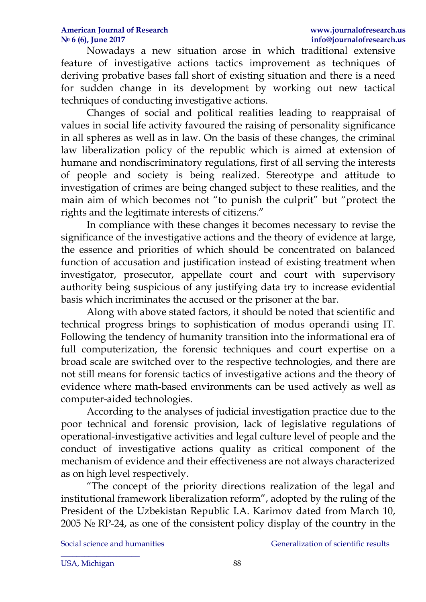Nowadays a new situation arose in which traditional extensive feature of investigative actions tactics improvement as techniques of deriving probative bases fall short of existing situation and there is a need for sudden change in its development by working out new tactical techniques of conducting investigative actions.

Changes of social and political realities leading to reappraisal of values in social life activity favoured the raising of personality significance in all spheres as well as in law. On the basis of these changes, the criminal law liberalization policy of the republic which is aimed at extension of humane and nondiscriminatory regulations, first of all serving the interests of people and society is being realized. Stereotype and attitude to investigation of crimes are being changed subject to these realities, and the main aim of which becomes not "to punish the culprit" but "protect the rights and the legitimate interests of citizens."

In compliance with these changes it becomes necessary to revise the significance of the investigative actions and the theory of evidence at large, the essence and priorities of which should be concentrated on balanced function of accusation and justification instead of existing treatment when investigator, prosecutor, appellate court and court with supervisory authority being suspicious of any justifying data try to increase evidential basis which incriminates the accused or the prisoner at the bar.

Along with above stated factors, it should be noted that scientific and technical progress brings to sophistication of modus operandi using IT. Following the tendency of humanity transition into the informational era of full computerization, the forensic techniques and court expertise on a broad scale are switched over to the respective technologies, and there are not still means for forensic tactics of investigative actions and the theory of evidence where math-based environments can be used actively as well as computer-aided technologies.

According to the analyses of judicial investigation practice due to the poor technical and forensic provision, lack of legislative regulations of operational-investigative activities and legal culture level of people and the conduct of investigative actions quality as critical component of the mechanism of evidence and their effectiveness are not always characterized as on high level respectively.

"The concept of the priority directions realization of the legal and institutional framework liberalization reform", adopted by the ruling of the President of the Uzbekistan Republic I.A. Karimov dated from March 10, 2005  $\mathbb{N}_{\mathbb{P}}$  RP-24, as one of the consistent policy display of the country in the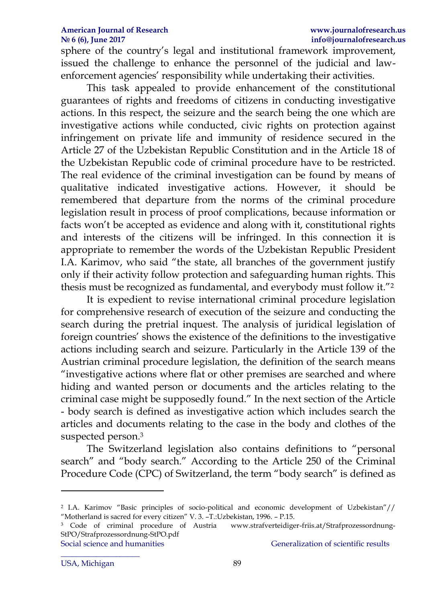## **American Journal of Research [www.journalofresearch.us](http://www.journalofresearch.us/)**

sphere of the country's legal and institutional framework improvement, issued the challenge to enhance the personnel of the judicial and lawenforcement agencies' responsibility while undertaking their activities.

This task appealed to provide enhancement of the constitutional guarantees of rights and freedoms of citizens in conducting investigative actions. In this respect, the seizure and the search being the one which are investigative actions while conducted, civic rights on protection against infringement on private life and immunity of residence secured in the Article 27 of the Uzbekistan Republic Constitution and in the Article 18 of the Uzbekistan Republic code of criminal procedure have to be restricted. The real evidence of the criminal investigation can be found by means of qualitative indicated investigative actions. However, it should be remembered that departure from the norms of the criminal procedure legislation result in process of proof complications, because information or facts won't be accepted as evidence and along with it, constitutional rights and interests of the citizens will be infringed. In this connection it is appropriate to remember the words of the Uzbekistan Republic President I.A. Karimov, who said "the state, all branches of the government justify only if their activity follow protection and safeguarding human rights. This thesis must be recognized as fundamental, and everybody must follow it."<sup>2</sup>

It is expedient to revise international criminal procedure legislation for comprehensive research of execution of the seizure and conducting the search during the pretrial inquest. The analysis of juridical legislation of foreign countries' shows the existence of the definitions to the investigative actions including search and seizure. Particularly in the Article 139 of the Austrian criminal procedure legislation, the definition of the search means "investigative actions where flat or other premises are searched and where hiding and wanted person or documents and the articles relating to the criminal case might be supposedly found." In the next section of the Article - body search is defined as investigative action which includes search the articles and documents relating to the case in the body and clothes of the suspected person.<sup>3</sup>

The Switzerland legislation also contains definitions to "personal search" and "body search." According to the Article 250 of the Criminal Procedure Code (CPC) of Switzerland, the term "body search" is defined as

**.** 

<sup>2</sup> I.A. Karimov "Basic principles of socio-political and economic development of Uzbekistan"// "Motherland is sacred for every citizen" V. 3. –Т.:Uzbekistan, 1996. – P.15.

Social science and humanities Generalization of scientific results <sup>3</sup> Code of criminal procedure of Austria www.strafverteidiger-friis.at/Strafprozessordnung-StPO/Strafprozessordnung-StPO.pdf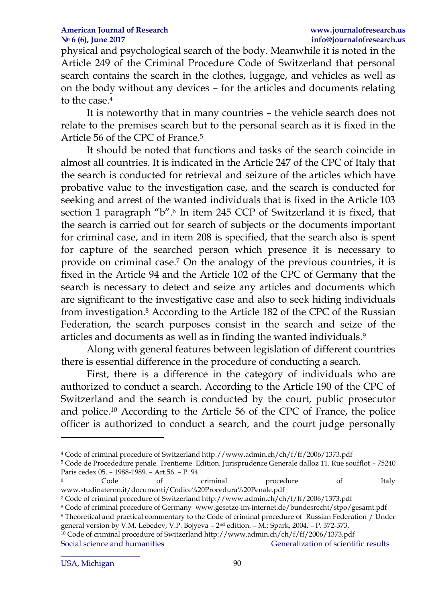physical and psychological search of the body. Meanwhile it is noted in the Article 249 of the Criminal Procedure Code of Switzerland that personal search contains the search in the clothes, luggage, and vehicles as well as on the body without any devices – for the articles and documents relating to the case  $4$ 

It is noteworthy that in many countries – the vehicle search does not relate to the premises search but to the personal search as it is fixed in the Article 56 of the CPC of France.<sup>5</sup>

It should be noted that functions and tasks of the search coincide in almost all countries. It is indicated in the Article 247 of the CPC of Italy that the search is conducted for retrieval and seizure of the articles which have probative value to the investigation case, and the search is conducted for seeking and arrest of the wanted individuals that is fixed in the Article 103 section 1 paragraph "b".<sup>6</sup> In item 245 CCP of Switzerland it is fixed, that the search is carried out for search of subjects or the documents important for criminal case, and in item 208 is specified, that the search also is spent for capture of the searched person which presence it is necessary to provide on criminal case.<sup>7</sup> On the analogy of the previous countries, it is fixed in the Article 94 and the Article 102 of the CPC of Germany that the search is necessary to detect and seize any articles and documents which are significant to the investigative case and also to seek hiding individuals from investigation.<sup>8</sup> According to the Article 182 of the CPC of the Russian Federation, the search purposes consist in the search and seize of the articles and documents as well as in finding the wanted individuals.<sup>9</sup>

Along with general features between legislation of different countries there is essential difference in the procedure of conducting a search.

First, there is a difference in the category of individuals who are authorized to conduct a search. According to the Article 190 of the CPC of Switzerland and the search is conducted by the court, public prosecutor and police.<sup>10</sup> According to the Article 56 of the CPC of France, the police officer is authorized to conduct a search, and the court judge personally

<sup>10</sup> Code of criminal procedure of Switzerland http://www.admin.ch/ch/f/ff/2006/1373.pdf

Social science and humanities Social scientific results

1

<sup>4</sup> Code of criminal procedure of Switzerland http://www.admin.ch/ch/f/ff/2006/1373.pdf

<sup>5</sup> Code de Procededure penale. Trentieme Edition. Jurisprudence Generale dalloz 11. Rue soufflot – 75240 Paris cedex 05. – 1988-1989. – Art.56. – P. 94.

<sup>&</sup>lt;sup>6</sup> Code of criminal procedure of Italy [www.studioaterno.it/documenti/Codice%20Procedura%20Penale.pdf](http://www.studioaterno.it/documenti/Codice%20Procedura%20Penale.pdf)

<sup>7</sup> Code of criminal procedure of Switzerland http://www.admin.ch/ch/f/ff/2006/1373.pdf

<sup>8</sup> Code of criminal procedure of Germany [www.gesetze-im-internet.de/bundesrecht/stpo/gesamt.pdf](http://www.gesetze-im-internet.de/bundesrecht/stpo/gesamt.pdf) <sup>9</sup> Theoretical and practical commentary to the Code of criminal procedure of Russian Federation / Under general version by V.M. Lebedev, V.P. Bojyeva – 2<sup>nd</sup> edition. – M.: Spark, 2004. – P. 372-373.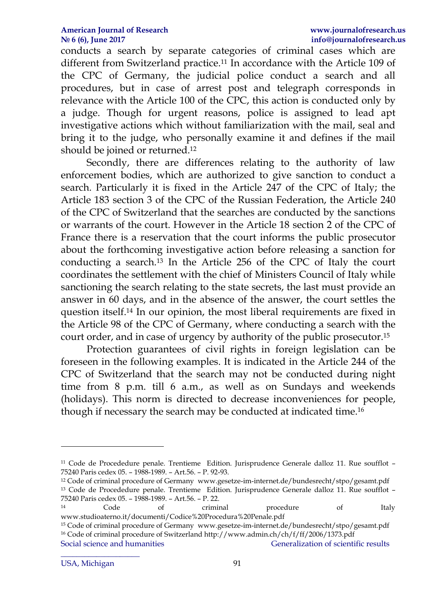conducts a search by separate categories of criminal cases which are different from Switzerland practice.<sup>11</sup> In accordance with the Article 109 of the CPC of Germany, the judicial police conduct a search and all procedures, but in case of arrest post and telegraph corresponds in relevance with the Article 100 of the CPC, this action is conducted only by a judge. Though for urgent reasons, police is assigned to lead apt investigative actions which without familiarization with the mail, seal and bring it to the judge, who personally examine it and defines if the mail should be joined or returned.<sup>12</sup>

Secondly, there are differences relating to the authority of law enforcement bodies, which are authorized to give sanction to conduct a search. Particularly it is fixed in the Article 247 of the CPC of Italy; the Article 183 section 3 of the CPC of the Russian Federation, the Article 240 of the CPC of Switzerland that the searches are conducted by the sanctions or warrants of the court. However in the Article 18 section 2 of the CPC of France there is a reservation that the court informs the public prosecutor about the forthcoming investigative action before releasing a sanction for conducting a search.<sup>13</sup> In the Article 256 of the CPC of Italy the court coordinates the settlement with the chief of Ministers Council of Italy while sanctioning the search relating to the state secrets, the last must provide an answer in 60 days, and in the absence of the answer, the court settles the question itself.<sup>14</sup> In our opinion, the most liberal requirements are fixed in the Article 98 of the CPC of Germany, where conducting a search with the court order, and in case of urgency by authority of the public prosecutor.<sup>15</sup>

Protection guarantees of civil rights in foreign legislation can be foreseen in the following examples. It is indicated in the Article 244 of the CPC of Switzerland that the search may not be conducted during night time from 8 p.m. till 6 a.m., as well as on Sundays and weekends (holidays). This norm is directed to decrease inconveniences for people, though if necessary the search may be conducted at indicated time.<sup>16</sup>

75240 Paris cedex 05. – 1988-1989. – Art.56. – Р. 22.

 $\overline{a}$ 

<sup>11</sup> Code de Procededure penale. Trentieme Edition. Jurisprudence Generale dalloz 11. Rue soufflot – 75240 Paris cedex 05. – 1988-1989. – Art.56. – P. 92-93.

<sup>12</sup> Code of criminal procedure of Germany [www.gesetze-im-internet.de/bundesrecht/stpo/gesamt.pdf](http://www.gesetze-im-internet.de/bundesrecht/stpo/gesamt.pdf) <sup>13</sup> Code de Procededure penale. Trentieme Edition. Jurisprudence Generale dalloz 11. Rue soufflot –

Code of criminal procedure of Italy [www.studioaterno.it/documenti/Codice%20Procedura%20Penale.pdf](http://www.studioaterno.it/documenti/Codice%20Procedura%20Penale.pdf)

Social science and humanities Generalization of scientific results <sup>15</sup> Code of criminal procedure of Germany [www.gesetze-im-internet.de/bundesrecht/stpo/gesamt.pdf](http://www.gesetze-im-internet.de/bundesrecht/stpo/gesamt.pdf) <sup>16</sup> Code of criminal procedure of Switzerland http://www.admin.ch/ch/f/ff/2006/1373.pdf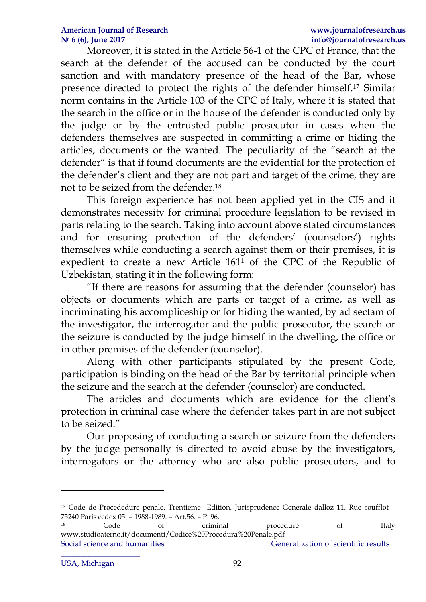Moreover, it is stated in the Article 56-1 of the CPC of France, that the search at the defender of the accused can be conducted by the court sanction and with mandatory presence of the head of the Bar, whose presence directed to protect the rights of the defender himself.<sup>17</sup> Similar norm contains in the Article 103 of the CPC of Italy, where it is stated that the search in the office or in the house of the defender is conducted only by the judge or by the entrusted public prosecutor in cases when the defenders themselves are suspected in committing a crime or hiding the articles, documents or the wanted. The peculiarity of the "search at the defender" is that if found documents are the evidential for the protection of the defender's client and they are not part and target of the crime, they are not to be seized from the defender.<sup>18</sup>

This foreign experience has not been applied yet in the CIS and it demonstrates necessity for criminal procedure legislation to be revised in parts relating to the search. Taking into account above stated circumstances and for ensuring protection of the defenders' (counselors') rights themselves while conducting a search against them or their premises, it is expedient to create a new Article 161<sup>1</sup> of the CPC of the Republic of Uzbekistan, stating it in the following form:

"If there are reasons for assuming that the defender (counselor) has objects or documents which are parts or target of a crime, as well as incriminating his accompliceship or for hiding the wanted, by ad sectam of the investigator, the interrogator and the public prosecutor, the search or the seizure is conducted by the judge himself in the dwelling, the office or in other premises of the defender (counselor).

Along with other participants stipulated by the present Code, participation is binding on the head of the Bar by territorial principle when the seizure and the search at the defender (counselor) are conducted.

The articles and documents which are evidence for the client's protection in criminal case where the defender takes part in are not subject to be seized."

Our proposing of conducting a search or seizure from the defenders by the judge personally is directed to avoid abuse by the investigators, interrogators or the attorney who are also public prosecutors, and to

**.** 

<sup>&</sup>lt;sup>17</sup> Code de Procededure penale. Trentieme Edition. Jurisprudence Generale dalloz 11. Rue soufflot -75240 Paris cedex 05. – 1988-1989. – Art.56. – P. 96.

Social science and humanities Generalization of scientific results <sup>18</sup> Code of criminal procedure of Italy [www.studioaterno.it/documenti/Codice%20Procedura%20Penale.pdf](http://www.studioaterno.it/documenti/Codice%20Procedura%20Penale.pdf)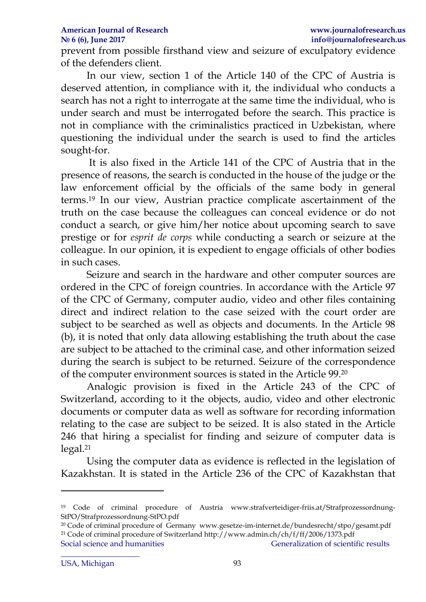prevent from possible firsthand view and seizure of exculpatory evidence of the defenders client.

In our view, section 1 of the Article 140 of the CPC of Austria is deserved attention, in compliance with it, the individual who conducts a search has not a right to interrogate at the same time the individual, who is under search and must be interrogated before the search. This practice is not in compliance with the criminalistics practiced in Uzbekistan, where questioning the individual under the search is used to find the articles sought-for.

It is also fixed in the Article 141 of the CPC of Austria that in the presence of reasons, the search is conducted in the house of the judge or the law enforcement official by the officials of the same body in general terms.<sup>19</sup> In our view, Austrian practice complicate ascertainment of the truth on the case because the colleagues can conceal evidence or do not conduct a search, or give him/her notice about upcoming search to save prestige or for *esprit de corps* while conducting a search or seizure at the colleague. In our opinion, it is expedient to engage officials of other bodies in such cases.

Seizure and search in the hardware and other computer sources are ordered in the CPC of foreign countries. In accordance with the Article 97 of the CPC of Germany, computer audio, video and other files containing direct and indirect relation to the case seized with the court order are subject to be searched as well as objects and documents. In the Article 98 (b), it is noted that only data allowing establishing the truth about the case are subject to be attached to the criminal case, and other information seized during the search is subject to be returned. Seizure of the correspondence of the computer environment sources is stated in the Article 99.<sup>20</sup>

Analogic provision is fixed in the Article 243 of the CPC of Switzerland, according to it the objects, audio, video and other electronic documents or computer data as well as software for recording information relating to the case are subject to be seized. It is also stated in the Article 246 that hiring a specialist for finding and seizure of computer data is legal.<sup>21</sup>

Using the computer data as evidence is reflected in the legislation of Kazakhstan. It is stated in the Article 236 of the CPC of Kazakhstan that

**.** 

<sup>&</sup>lt;sup>19</sup> Code of criminal procedure of Austria [www.strafverteidiger-friis.at/Strafprozessordnung-](http://www.strafverteidiger-friis.at/Strafprozessordnung-StPO/Strafprozessordnung-StPO.pdf)[StPO/Strafprozessordnung-StPO.pdf](http://www.strafverteidiger-friis.at/Strafprozessordnung-StPO/Strafprozessordnung-StPO.pdf)

Social science and humanities Generalization of scientific results <sup>20</sup> Code of criminal procedure of Germany [www.gesetze-im-internet.de/bundesrecht/stpo/gesamt.pdf](http://www.gesetze-im-internet.de/bundesrecht/stpo/gesamt.pdf) <sup>21</sup> Code of criminal procedure of Switzerland http://www.admin.ch/ch/f/ff/2006/1373.pdf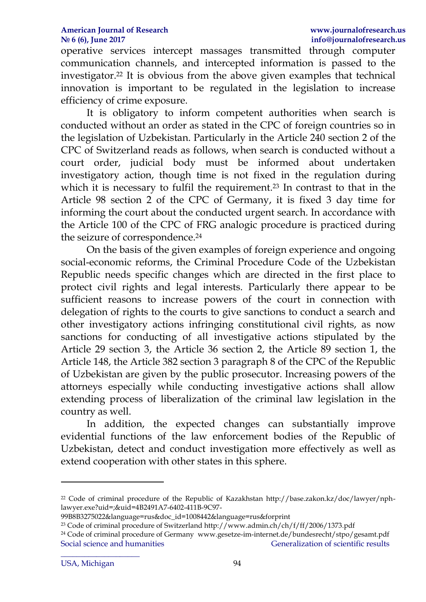operative services intercept massages transmitted through computer communication channels, and intercepted information is passed to the investigator.<sup>22</sup> It is obvious from the above given examples that technical innovation is important to be regulated in the legislation to increase efficiency of crime exposure.

It is obligatory to inform competent authorities when search is conducted without an order as stated in the CPC of foreign countries so in the legislation of Uzbekistan. Particularly in the Article 240 section 2 of the CPC of Switzerland reads as follows, when search is conducted without a court order, judicial body must be informed about undertaken investigatory action, though time is not fixed in the regulation during which it is necessary to fulfil the requirement.<sup>23</sup> In contrast to that in the Article 98 section 2 of the CPC of Germany, it is fixed 3 day time for informing the court about the conducted urgent search. In accordance with the Article 100 of the CPC of FRG analogic procedure is practiced during the seizure of correspondence.<sup>24</sup>

On the basis of the given examples of foreign experience and ongoing social-economic reforms, the Criminal Procedure Code of the Uzbekistan Republic needs specific changes which are directed in the first place to protect civil rights and legal interests. Particularly there appear to be sufficient reasons to increase powers of the court in connection with delegation of rights to the courts to give sanctions to conduct a search and other investigatory actions infringing constitutional civil rights, as now sanctions for conducting of all investigative actions stipulated by the Article 29 section 3, the Article 36 section 2, the Article 89 section 1, the Article 148, the Article 382 section 3 paragraph 8 of the CPC of the Republic of Uzbekistan are given by the public prosecutor. Increasing powers of the attorneys especially while conducting investigative actions shall allow extending process of liberalization of the criminal law legislation in the country as well.

In addition, the expected changes can substantially improve evidential functions of the law enforcement bodies of the Republic of Uzbekistan, detect and conduct investigation more effectively as well as extend cooperation with other states in this sphere.

**.** 

<sup>22</sup> Code of criminal procedure of the Republic of Kazakhstan http://base.zakon.kz/doc/lawyer/nphlawyer.exe?uid=;&uid=4B2491A7-6402-411B-9C97-

<sup>99</sup>B8B3275022&language=rus&doc\_id=1008442&language=rus&forprint

<sup>23</sup> Code of criminal procedure of Switzerland http://www.admin.ch/ch/f/ff/2006/1373.pdf

Social science and humanities Social scientific results  $\overline{\phantom{a}}$  , we are the contract of the contract of the contract of the contract of the contract of the contract of the contract of the contract of the contract of the contract of the contract of the contract of the cont <sup>24</sup> Code of criminal procedure of Germany [www.gesetze-im-internet.de/bundesrecht/stpo/gesamt.pdf](http://www.gesetze-im-internet.de/bundesrecht/stpo/gesamt.pdf)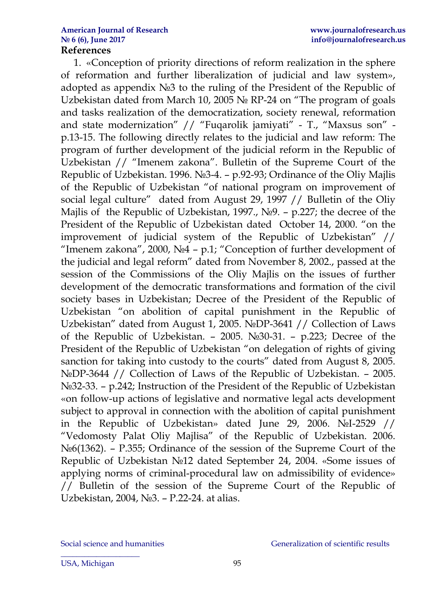1. «Conception of priority directions of reform realization in the sphere of reformation and further liberalization of judicial and law system», adopted as appendix №3 to the ruling of the President of the Republic of Uzbekistan dated from March 10, 2005 № RP-24 on "The program of goals and tasks realization of the democratization, society renewal, reformation and state modernization" // "Fuqarolik jamiyati" - T., "Maxsus son" p.13-15. The following directly relates to the judicial and law reform: The program of further development of the judicial reform in the Republic of Uzbekistan // "Imenem zakona". Bulletin of the Supreme Court of the Republic of Uzbekistan. 1996. №3-4. – p.92-93; Ordinance of the Oliy Majlis of the Republic of Uzbekistan "of national program on improvement of social legal culture" dated from August 29, 1997 // Bulletin of the Oliy Majlis of the Republic of Uzbekistan, 1997., №9. – p.227; the decree of the President of the Republic of Uzbekistan dated October 14, 2000. "on the improvement of judicial system of the Republic of Uzbekistan" // "Imenem zakona", 2000, No4 – p.1; "Conception of further development of the judicial and legal reform" dated from November 8, 2002., passed at the session of the Commissions of the Oliy Majlis on the issues of further development of the democratic transformations and formation of the civil society bases in Uzbekistan; Decree of the President of the Republic of Uzbekistan "on abolition of capital punishment in the Republic of Uzbekistan" dated from August 1, 2005. №DP-3641 // Collection of Laws of the Republic of Uzbekistan. – 2005. №30-31. – p.223; Decree of the President of the Republic of Uzbekistan "on delegation of rights of giving sanction for taking into custody to the courts" dated from August 8, 2005. N*□DP-3644 //* Collection of Laws of the Republic of Uzbekistan. – 2005. №32-33. – p.242; Instruction of the President of the Republic of Uzbekistan «on follow-up actions of legislative and normative legal acts development subject to approval in connection with the abolition of capital punishment in the Republic of Uzbekistan» dated June 29, 2006. №I-2529 // "Vedomosty Palat Oliy Majlisa" of the Republic of Uzbekistan. 2006. №6(1362). – P.355; Ordinance of the session of the Supreme Court of the Republic of Uzbekistan №12 dated September 24, 2004. «Some issues of applying norms of criminal-procedural law on admissibility of evidence» // Bulletin of the session of the Supreme Court of the Republic of Uzbekistan, 2004, №3. – P.22-24. at alias.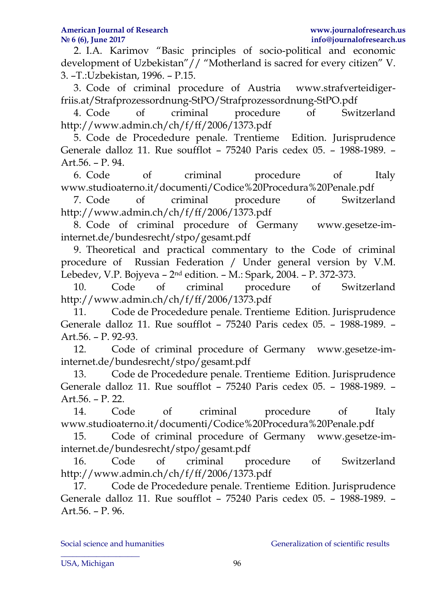2. I.A. Karimov "Basic principles of socio-political and economic development of Uzbekistan"// "Motherland is sacred for every citizen" V. 3. –Т.:Uzbekistan, 1996. – P.15.

3. Code of criminal procedure of Austria www.strafverteidigerfriis.at/Strafprozessordnung-StPO/Strafprozessordnung-StPO.pdf

4. Code of criminal procedure of Switzerland http://www.admin.ch/ch/f/ff/2006/1373.pdf

5. Code de Procededure penale. Trentieme Edition. Jurisprudence Generale dalloz 11. Rue soufflot – 75240 Paris cedex 05. – 1988-1989. – Art. 56 – P. 94.

6. Code of criminal procedure of Italy [www.studioaterno.it/documenti/Codice%20Procedura%20Penale.pdf](http://www.studioaterno.it/documenti/Codice%20Procedura%20Penale.pdf)

7. Code of criminal procedure of Switzerland http://www.admin.ch/ch/f/ff/2006/1373.pdf

8. Code of criminal procedure of Germany [www.gesetze-im](http://www.gesetze-im-internet.de/bundesrecht/stpo/gesamt.pdf)[internet.de/bundesrecht/stpo/gesamt.pdf](http://www.gesetze-im-internet.de/bundesrecht/stpo/gesamt.pdf)

9. Theoretical and practical commentary to the Code of criminal procedure of Russian Federation / Under general version by V.M. Lebedev, V.P. Bojyeva – 2nd edition. – М.: Spark, 2004. – P. 372-373.

10. Code of criminal procedure of Switzerland http://www.admin.ch/ch/f/ff/2006/1373.pdf

11. Code de Procededure penale. Trentieme Edition. Jurisprudence Generale dalloz 11. Rue soufflot – 75240 Paris cedex 05. – 1988-1989. – Art.56. – P. 92-93.

12. Code of criminal procedure of Germany [www.gesetze-im](http://www.gesetze-im-internet.de/bundesrecht/stpo/gesamt.pdf)[internet.de/bundesrecht/stpo/gesamt.pdf](http://www.gesetze-im-internet.de/bundesrecht/stpo/gesamt.pdf)

13. Code de Procededure penale. Trentieme Edition. Jurisprudence Generale dalloz 11. Rue soufflot – 75240 Paris cedex 05. – 1988-1989. – Art.56. – Р. 22.

14. Code of criminal procedure of Italy [www.studioaterno.it/documenti/Codice%20Procedura%20Penale.pdf](http://www.studioaterno.it/documenti/Codice%20Procedura%20Penale.pdf)

15. Code of criminal procedure of Germany [www.gesetze-im](http://www.gesetze-im-internet.de/bundesrecht/stpo/gesamt.pdf)[internet.de/bundesrecht/stpo/gesamt.pdf](http://www.gesetze-im-internet.de/bundesrecht/stpo/gesamt.pdf)

16. Code of criminal procedure of Switzerland http://www.admin.ch/ch/f/ff/2006/1373.pdf

17. Code de Procededure penale. Trentieme Edition. Jurisprudence Generale dalloz 11. Rue soufflot – 75240 Paris cedex 05. – 1988-1989. – Art.56. – P. 96.

 $\overline{\phantom{a}}$  , we are the contract of the contract of the contract of the contract of the contract of the contract of the contract of the contract of the contract of the contract of the contract of the contract of the cont

Social science and humanities Generalization of scientific results